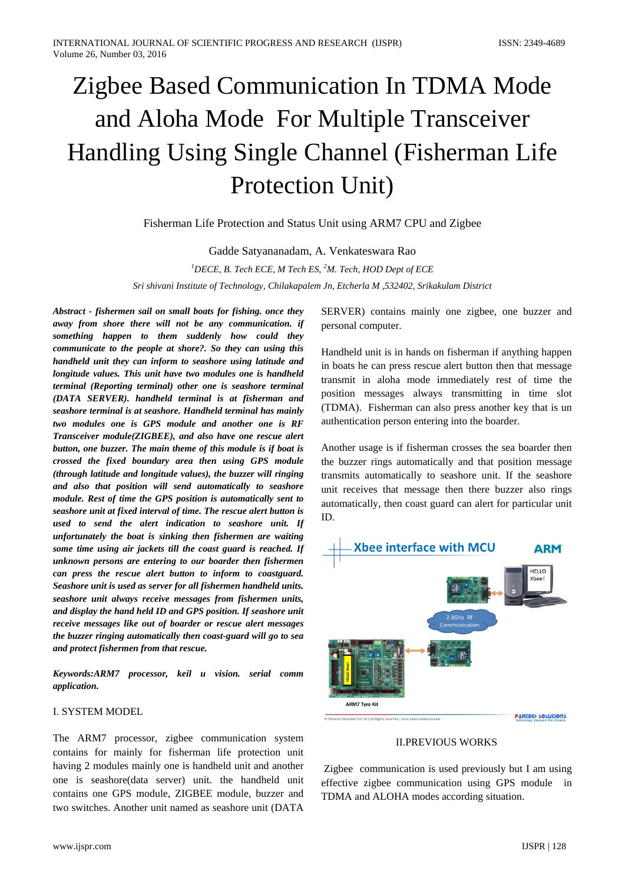# Zigbee Based Communication In TDMA Mode and Aloha Mode For Multiple Transceiver Handling Using Single Channel (Fisherman Life Protection Unit)

Fisherman Life Protection and Status Unit using ARM7 CPU and Zigbee

Gadde Satyananadam, A. Venkateswara Rao

*1 DECE, B. Tech ECE, M Tech ES, 2 M. Tech, HOD Dept of ECE Sri shivani Institute of Technology, Chilakapalem Jn, Etcherla M ,532402, Srikakulam District*

*Abstract - fishermen sail on small boats for fishing. once they away from shore there will not be any communication. if something happen to them suddenly how could they communicate to the people at shore?. So they can using this handheld unit they can inform to seashore using latitude and longitude values. This unit have two modules one is handheld terminal (Reporting terminal) other one is seashore terminal (DATA SERVER). handheld terminal is at fisherman and seashore terminal is at seashore. Handheld terminal has mainly two modules one is GPS module and another one is RF Transceiver module(ZIGBEE), and also have one rescue alert button, one buzzer. The main theme of this module is if boat is crossed the fixed boundary area then using GPS module (through latitude and longitude values), the buzzer will ringing and also that position will send automatically to seashore module. Rest of time the GPS position is automatically sent to seashore unit at fixed interval of time. The rescue alert button is used to send the alert indication to seashore unit. If unfortunately the boat is sinking then fishermen are waiting some time using air jackets till the coast guard is reached. If unknown persons are entering to our boarder then fishermen can press the rescue alert button to inform to coastguard. Seashore unit is used as server for all fishermen handheld units. seashore unit always receive messages from fishermen units, and display the hand held ID and GPS position. If seashore unit receive messages like out of boarder or rescue alert messages the buzzer ringing automatically then coast-guard will go to sea and protect fishermen from that rescue.*

*Keywords:ARM7 processor, keil u vision. serial comm application.*

#### I. SYSTEM MODEL

The ARM7 processor, zigbee communication system contains for mainly for fisherman life protection unit having 2 modules mainly one is handheld unit and another one is seashore(data server) unit. the handheld unit contains one GPS module, ZIGBEE module, buzzer and two switches. Another unit named as seashore unit (DATA

SERVER) contains mainly one zigbee, one buzzer and personal computer.

Handheld unit is in hands on fisherman if anything happen in boats he can press rescue alert button then that message transmit in aloha mode immediately rest of time the position messages always transmitting in time slot (TDMA). Fisherman can also press another key that is un authentication person entering into the boarder.

Another usage is if fisherman crosses the sea boarder then the buzzer rings automatically and that position message transmits automatically to seashore unit. If the seashore unit receives that message then there buzzer also rings automatically, then coast guard can alert for particular unit ID.



II.PREVIOUS WORKS

Zigbee communication is used previously but I am using effective zigbee communication using GPS module in TDMA and ALOHA modes according situation.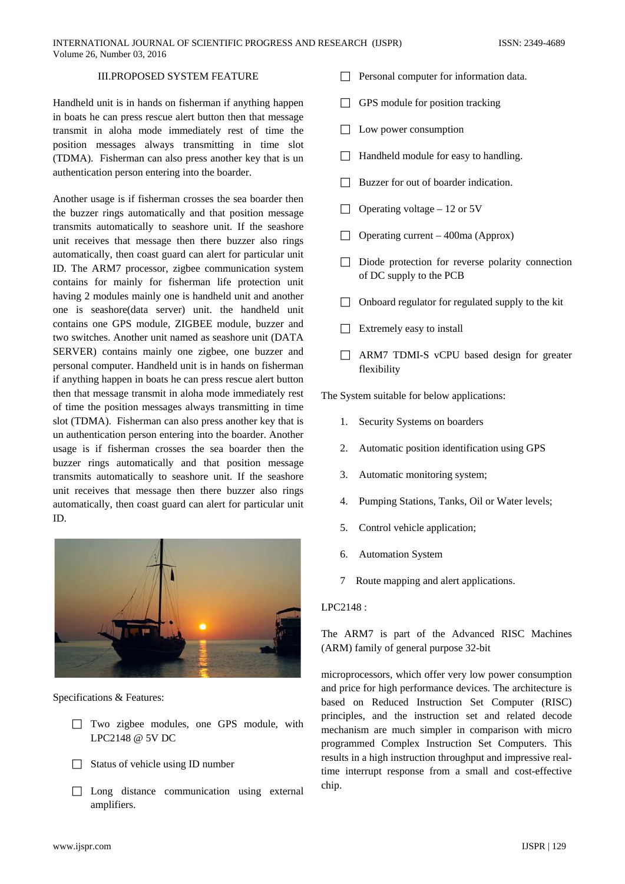# III.PROPOSED SYSTEM FEATURE

Handheld unit is in hands on fisherman if anything happen in boats he can press rescue alert button then that message transmit in aloha mode immediately rest of time the position messages always transmitting in time slot (TDMA). Fisherman can also press another key that is un authentication person entering into the boarder.

Another usage is if fisherman crosses the sea boarder then the buzzer rings automatically and that position message transmits automatically to seashore unit. If the seashore unit receives that message then there buzzer also rings automatically, then coast guard can alert for particular unit ID. The ARM7 processor, zigbee communication system contains for mainly for fisherman life protection unit having 2 modules mainly one is handheld unit and another one is seashore(data server) unit. the handheld unit contains one GPS module, ZIGBEE module, buzzer and two switches. Another unit named as seashore unit (DATA SERVER) contains mainly one zigbee, one buzzer and personal computer. Handheld unit is in hands on fisherman if anything happen in boats he can press rescue alert button then that message transmit in aloha mode immediately rest of time the position messages always transmitting in time slot (TDMA). Fisherman can also press another key that is un authentication person entering into the boarder. Another usage is if fisherman crosses the sea boarder then the buzzer rings automatically and that position message transmits automatically to seashore unit. If the seashore unit receives that message then there buzzer also rings automatically, then coast guard can alert for particular unit ID.



Specifications & Features:

- Two zigbee modules, one GPS module, with LPC2148 @ 5V DC
- $\Box$  Status of vehicle using ID number
- $\Box$  Long distance communication using external amplifiers.
- $\Box$  Personal computer for information data.
- $\Box$  GPS module for position tracking
- $\Box$  Low power consumption
- $\Box$  Handheld module for easy to handling.
- $\Box$  Buzzer for out of boarder indication.
- $\Box$  Operating voltage 12 or 5V
- $\Box$  Operating current 400ma (Approx)
- $\Box$  Diode protection for reverse polarity connection of DC supply to the PCB
- $\Box$  Onboard regulator for regulated supply to the kit
- $\Box$  Extremely easy to install
- ARM7 TDMI-S vCPU based design for greater flexibility

The System suitable for below applications:

- 1. Security Systems on boarders
- 2. Automatic position identification using GPS
- 3. Automatic monitoring system;
- 4. Pumping Stations, Tanks, Oil or Water levels;
- 5. Control vehicle application;
- 6. Automation System
- 7 Route mapping and alert applications.

## LPC2148 :

The ARM7 is part of the Advanced RISC Machines (ARM) family of general purpose 32-bit

microprocessors, which offer very low power consumption and price for high performance devices. The architecture is based on Reduced Instruction Set Computer (RISC) principles, and the instruction set and related decode mechanism are much simpler in comparison with micro programmed Complex Instruction Set Computers. This results in a high instruction throughput and impressive realtime interrupt response from a small and cost-effective chip.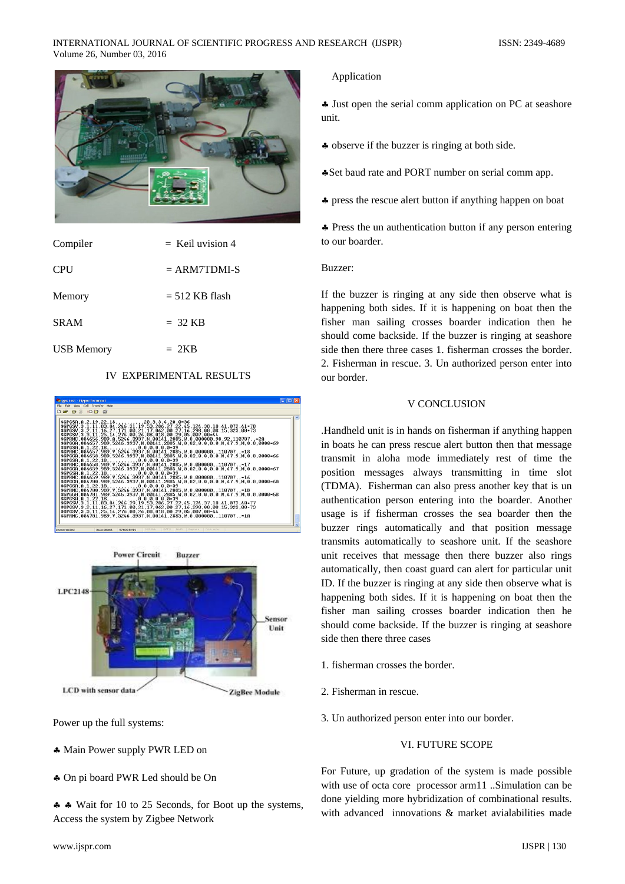

| Compiler          | $=$ Keil uvision 4 |
|-------------------|--------------------|
| <b>CPU</b>        | $= ARM 7 8 8$      |
| Memory            | $= 512$ KB flash   |
| <b>SRAM</b>       | $=$ 32 KB          |
| <b>USB</b> Memory | $= 2KB$            |

# IV EXPERIMENTAL RESULTS





Power up the full systems:

- ♣ Main Power supply PWR LED on
- ♣ On pi board PWR Led should be On

♣ ♣ Wait for 10 to 25 Seconds, for Boot up the systems, Access the system by Zigbee Network

# Application

♣ Just open the serial comm application on PC at seashore unit.

♣ observe if the buzzer is ringing at both side.

♣Set baud rate and PORT number on serial comm app.

♣ press the rescue alert button if anything happen on boat

♣ Press the un authentication button if any person entering to our boarder.

#### Buzzer:

If the buzzer is ringing at any side then observe what is happening both sides. If it is happening on boat then the fisher man sailing crosses boarder indication then he should come backside. If the buzzer is ringing at seashore side then there three cases 1. fisherman crosses the border. 2. Fisherman in rescue. 3. Un authorized person enter into our border.

## V CONCLUSION

.Handheld unit is in hands on fisherman if anything happen in boats he can press rescue alert button then that message transmit in aloha mode immediately rest of time the position messages always transmitting in time slot (TDMA). Fisherman can also press another key that is un authentication person entering into the boarder. Another usage is if fisherman crosses the sea boarder then the buzzer rings automatically and that position message transmits automatically to seashore unit. If the seashore unit receives that message then there buzzer also rings automatically, then coast guard can alert for particular unit ID. If the buzzer is ringing at any side then observe what is happening both sides. If it is happening on boat then the fisher man sailing crosses boarder indication then he should come backside. If the buzzer is ringing at seashore side then there three cases

- 1. fisherman crosses the border.
- 2. Fisherman in rescue.
- 3. Un authorized person enter into our border.

# VI. FUTURE SCOPE

For Future, up gradation of the system is made possible with use of octa core processor arm11 ..Simulation can be done yielding more hybridization of combinational results. with advanced innovations & market avialabilities made